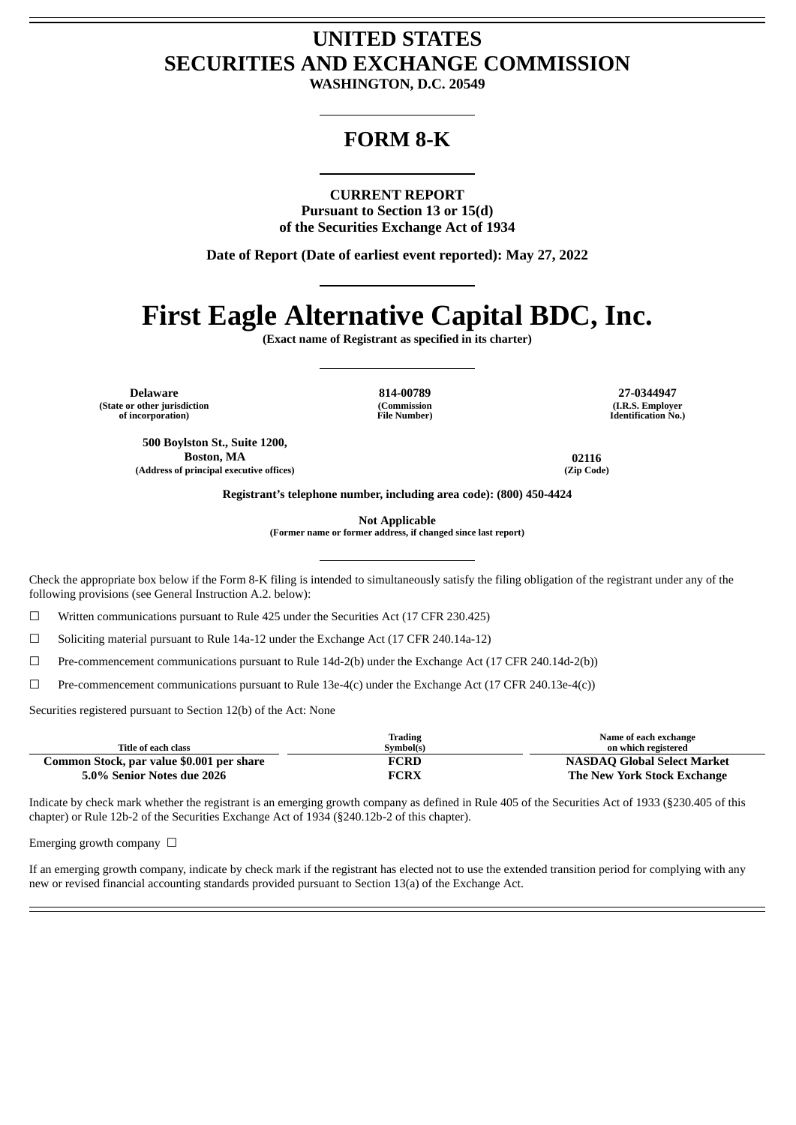## **UNITED STATES SECURITIES AND EXCHANGE COMMISSION**

**WASHINGTON, D.C. 20549**

## **FORM 8-K**

**CURRENT REPORT**

**Pursuant to Section 13 or 15(d) of the Securities Exchange Act of 1934**

**Date of Report (Date of earliest event reported): May 27, 2022**

## **First Eagle Alternative Capital BDC, Inc.**

**(Exact name of Registrant as specified in its charter)**

**Delaware 814-00789 27-0344947 (State or other jurisdiction of incorporation)**

**500 Boylston St., Suite 1200,**

**(Commission File Number)**

**(I.R.S. Employer Identification No.)**

**Boston, MA 02116 (Address of principal executive offices) (Zip Code)**

**Registrant's telephone number, including area code): (800) 450-4424**

**Not Applicable**

**(Former name or former address, if changed since last report)**

Check the appropriate box below if the Form 8-K filing is intended to simultaneously satisfy the filing obligation of the registrant under any of the following provisions (see General Instruction A.2. below):

☐ Written communications pursuant to Rule 425 under the Securities Act (17 CFR 230.425)

☐ Soliciting material pursuant to Rule 14a-12 under the Exchange Act (17 CFR 240.14a-12)

☐ Pre-commencement communications pursuant to Rule 14d-2(b) under the Exchange Act (17 CFR 240.14d-2(b))

☐ Pre-commencement communications pursuant to Rule 13e-4(c) under the Exchange Act (17 CFR 240.13e-4(c))

Securities registered pursuant to Section 12(b) of the Act: None

| Title of each class                       | Trading<br>Symbol(s) | Name of each exchange<br>on which registered |
|-------------------------------------------|----------------------|----------------------------------------------|
| Common Stock, par value \$0.001 per share | FCRD                 | <b>NASDAQ Global Select Market</b>           |
| 5.0% Senior Notes due 2026                | <b>FCRX</b>          | The New York Stock Exchange                  |

Indicate by check mark whether the registrant is an emerging growth company as defined in Rule 405 of the Securities Act of 1933 (§230.405 of this chapter) or Rule 12b-2 of the Securities Exchange Act of 1934 (§240.12b-2 of this chapter).

Emerging growth company  $\Box$ 

If an emerging growth company, indicate by check mark if the registrant has elected not to use the extended transition period for complying with any new or revised financial accounting standards provided pursuant to Section 13(a) of the Exchange Act.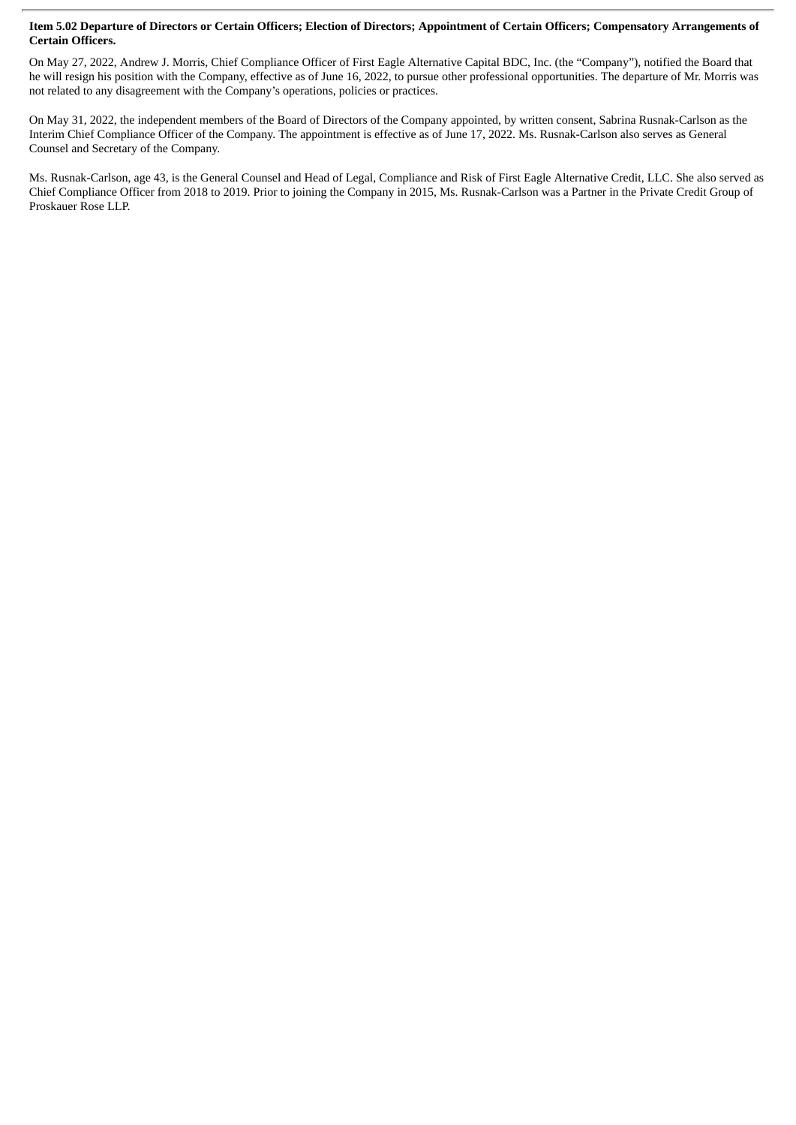## Item 5.02 Departure of Directors or Certain Officers; Election of Directors; Appointment of Certain Officers; Compensatory Arrangements of **Certain Officers.**

On May 27, 2022, Andrew J. Morris, Chief Compliance Officer of First Eagle Alternative Capital BDC, Inc. (the "Company"), notified the Board that he will resign his position with the Company, effective as of June 16, 2022, to pursue other professional opportunities. The departure of Mr. Morris was not related to any disagreement with the Company's operations, policies or practices.

On May 31, 2022, the independent members of the Board of Directors of the Company appointed, by written consent, Sabrina Rusnak-Carlson as the Interim Chief Compliance Officer of the Company. The appointment is effective as of June 17, 2022. Ms. Rusnak-Carlson also serves as General Counsel and Secretary of the Company.

Ms. Rusnak-Carlson, age 43, is the General Counsel and Head of Legal, Compliance and Risk of First Eagle Alternative Credit, LLC. She also served as Chief Compliance Officer from 2018 to 2019. Prior to joining the Company in 2015, Ms. Rusnak-Carlson was a Partner in the Private Credit Group of Proskauer Rose LLP.